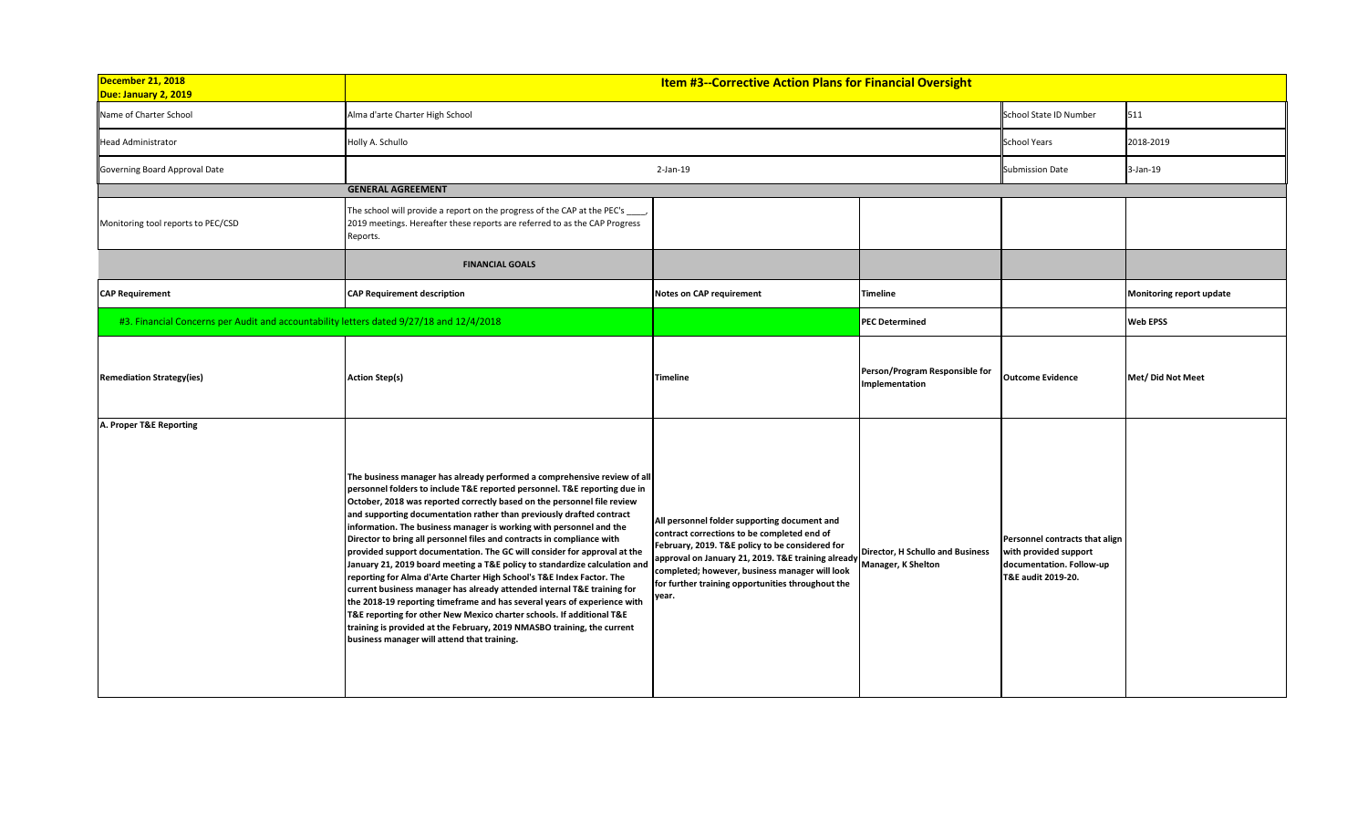| December 21, 2018<br>Due: January 2, 2019                                               | <b>Item #3--Corrective Action Plans for Financial Oversight</b>                                                                                                                                                                                                                                                                                                                                                                                                                                                                                                                                                                                                                                                                                                                                                                                                                                                                                                                                                                                        |                                                                                                                                                                                                                                                                                                                                         |                                                  |                                                                                                           |                          |
|-----------------------------------------------------------------------------------------|--------------------------------------------------------------------------------------------------------------------------------------------------------------------------------------------------------------------------------------------------------------------------------------------------------------------------------------------------------------------------------------------------------------------------------------------------------------------------------------------------------------------------------------------------------------------------------------------------------------------------------------------------------------------------------------------------------------------------------------------------------------------------------------------------------------------------------------------------------------------------------------------------------------------------------------------------------------------------------------------------------------------------------------------------------|-----------------------------------------------------------------------------------------------------------------------------------------------------------------------------------------------------------------------------------------------------------------------------------------------------------------------------------------|--------------------------------------------------|-----------------------------------------------------------------------------------------------------------|--------------------------|
| Name of Charter School                                                                  | Alma d'arte Charter High School                                                                                                                                                                                                                                                                                                                                                                                                                                                                                                                                                                                                                                                                                                                                                                                                                                                                                                                                                                                                                        |                                                                                                                                                                                                                                                                                                                                         |                                                  | School State ID Number                                                                                    | 511                      |
| <b>Head Administrator</b>                                                               | Holly A. Schullo                                                                                                                                                                                                                                                                                                                                                                                                                                                                                                                                                                                                                                                                                                                                                                                                                                                                                                                                                                                                                                       |                                                                                                                                                                                                                                                                                                                                         |                                                  | <b>School Years</b>                                                                                       | 2018-2019                |
| Governing Board Approval Date                                                           |                                                                                                                                                                                                                                                                                                                                                                                                                                                                                                                                                                                                                                                                                                                                                                                                                                                                                                                                                                                                                                                        | 2-Jan-19                                                                                                                                                                                                                                                                                                                                |                                                  | <b>Submission Date</b>                                                                                    | $3-Jan-19$               |
|                                                                                         | <b>GENERAL AGREEMENT</b>                                                                                                                                                                                                                                                                                                                                                                                                                                                                                                                                                                                                                                                                                                                                                                                                                                                                                                                                                                                                                               |                                                                                                                                                                                                                                                                                                                                         |                                                  |                                                                                                           |                          |
| Monitoring tool reports to PEC/CSD                                                      | The school will provide a report on the progress of the CAP at the PEC's _____<br>2019 meetings. Hereafter these reports are referred to as the CAP Progress<br>Reports.                                                                                                                                                                                                                                                                                                                                                                                                                                                                                                                                                                                                                                                                                                                                                                                                                                                                               |                                                                                                                                                                                                                                                                                                                                         |                                                  |                                                                                                           |                          |
|                                                                                         | <b>FINANCIAL GOALS</b>                                                                                                                                                                                                                                                                                                                                                                                                                                                                                                                                                                                                                                                                                                                                                                                                                                                                                                                                                                                                                                 |                                                                                                                                                                                                                                                                                                                                         |                                                  |                                                                                                           |                          |
| <b>CAP Requirement</b>                                                                  | <b>CAP Requirement description</b>                                                                                                                                                                                                                                                                                                                                                                                                                                                                                                                                                                                                                                                                                                                                                                                                                                                                                                                                                                                                                     | Notes on CAP requirement                                                                                                                                                                                                                                                                                                                | <b>Timeline</b>                                  |                                                                                                           | Monitoring report update |
| #3. Financial Concerns per Audit and accountability letters dated 9/27/18 and 12/4/2018 |                                                                                                                                                                                                                                                                                                                                                                                                                                                                                                                                                                                                                                                                                                                                                                                                                                                                                                                                                                                                                                                        |                                                                                                                                                                                                                                                                                                                                         | <b>PEC Determined</b>                            |                                                                                                           | <b>Web EPSS</b>          |
| <b>Remediation Strategy(ies)</b>                                                        | <b>Action Step(s)</b>                                                                                                                                                                                                                                                                                                                                                                                                                                                                                                                                                                                                                                                                                                                                                                                                                                                                                                                                                                                                                                  | <b>Timeline</b>                                                                                                                                                                                                                                                                                                                         | Person/Program Responsible for<br>Implementation | <b>Outcome Evidence</b>                                                                                   | Met/ Did Not Meet        |
| A. Proper T&E Reporting                                                                 | The business manager has already performed a comprehensive review of all<br>personnel folders to include T&E reported personnel. T&E reporting due in<br>October, 2018 was reported correctly based on the personnel file review<br>and supporting documentation rather than previously drafted contract<br>information. The business manager is working with personnel and the<br>Director to bring all personnel files and contracts in compliance with<br>provided support documentation. The GC will consider for approval at the<br>January 21, 2019 board meeting a T&E policy to standardize calculation and<br>reporting for Alma d'Arte Charter High School's T&E Index Factor. The<br>current business manager has already attended internal T&E training for<br>the 2018-19 reporting timeframe and has several years of experience with<br>T&E reporting for other New Mexico charter schools. If additional T&E<br>training is provided at the February, 2019 NMASBO training, the current<br>business manager will attend that training. | All personnel folder supporting document and<br>contract corrections to be completed end of<br>February, 2019. T&E policy to be considered for<br>approval on January 21, 2019. T&E training already Manager, K Shelton<br>completed; however, business manager will look<br>for further training opportunities throughout the<br>year. | Director, H Schullo and Business                 | Personnel contracts that align<br>with provided support<br>documentation. Follow-up<br>T&E audit 2019-20. |                          |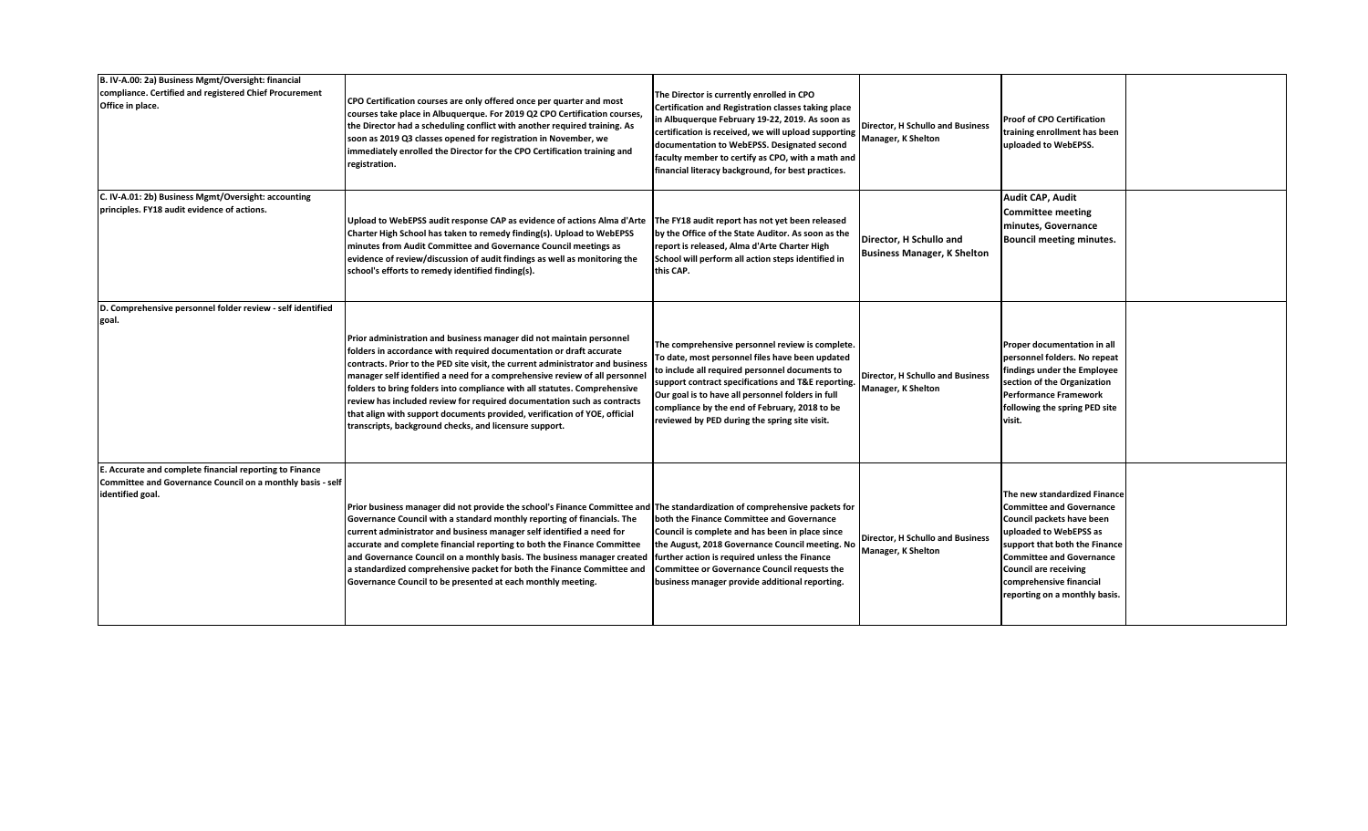| B. IV-A.00: 2a) Business Mgmt/Oversight: financial<br>compliance. Certified and registered Chief Procurement<br>Office in place.          | CPO Certification courses are only offered once per quarter and most<br>courses take place in Albuquerque. For 2019 Q2 CPO Certification courses,<br>the Director had a scheduling conflict with another required training. As<br>soon as 2019 Q3 classes opened for registration in November, we<br>immediately enrolled the Director for the CPO Certification training and<br>registration.                                                                                                                                                                                                            | The Director is currently enrolled in CPO<br>Certification and Registration classes taking place<br>in Albuquerque February 19-22, 2019. As soon as<br>certification is received, we will upload supporting<br>documentation to WebEPSS. Designated second<br>faculty member to certify as CPO, with a math and<br>financial literacy background, for best practices. | Director, H Schullo and Business<br>Manager, K Shelton        | <b>Proof of CPO Certification</b><br>training enrollment has been<br>uploaded to WebEPSS.                                                                                                                                                                                              |  |
|-------------------------------------------------------------------------------------------------------------------------------------------|-----------------------------------------------------------------------------------------------------------------------------------------------------------------------------------------------------------------------------------------------------------------------------------------------------------------------------------------------------------------------------------------------------------------------------------------------------------------------------------------------------------------------------------------------------------------------------------------------------------|-----------------------------------------------------------------------------------------------------------------------------------------------------------------------------------------------------------------------------------------------------------------------------------------------------------------------------------------------------------------------|---------------------------------------------------------------|----------------------------------------------------------------------------------------------------------------------------------------------------------------------------------------------------------------------------------------------------------------------------------------|--|
| C. IV-A.01: 2b) Business Mgmt/Oversight: accounting<br>principles. FY18 audit evidence of actions.                                        | Upload to WebEPSS audit response CAP as evidence of actions Alma d'Arte   The FY18 audit report has not yet been released<br>Charter High School has taken to remedy finding(s). Upload to WebEPSS<br>minutes from Audit Committee and Governance Council meetings as<br>evidence of review/discussion of audit findings as well as monitoring the<br>school's efforts to remedy identified finding(s).                                                                                                                                                                                                   | by the Office of the State Auditor. As soon as the<br>report is released, Alma d'Arte Charter High<br>School will perform all action steps identified in<br>this CAP.                                                                                                                                                                                                 | Director, H Schullo and<br><b>Business Manager, K Shelton</b> | Audit CAP, Audit<br><b>Committee meeting</b><br>minutes, Governance<br>Bouncil meeting minutes.                                                                                                                                                                                        |  |
| D. Comprehensive personnel folder review - self identified<br>goal.                                                                       | Prior administration and business manager did not maintain personnel<br>folders in accordance with required documentation or draft accurate<br>contracts. Prior to the PED site visit, the current administrator and business<br>manager self identified a need for a comprehensive review of all personne<br>folders to bring folders into compliance with all statutes. Comprehensive<br>review has included review for required documentation such as contracts<br>that align with support documents provided, verification of YOE, official<br>transcripts, background checks, and licensure support. | The comprehensive personnel review is complete.<br>To date, most personnel files have been updated<br>to include all required personnel documents to<br>support contract specifications and T&E reporting.<br>Our goal is to have all personnel folders in full<br>compliance by the end of February, 2018 to be<br>reviewed by PED during the spring site visit.     | Director, H Schullo and Business<br>Manager, K Shelton        | Proper documentation in all<br>personnel folders. No repeat<br>findings under the Employee<br>section of the Organization<br><b>Performance Framework</b><br>following the spring PED site<br>visit.                                                                                   |  |
| E. Accurate and complete financial reporting to Finance<br>Committee and Governance Council on a monthly basis - self<br>identified goal. | Prior business manager did not provide the school's Finance Committee and The standardization of comprehensive packets for<br>Governance Council with a standard monthly reporting of financials. The<br>current administrator and business manager self identified a need for<br>accurate and complete financial reporting to both the Finance Committee<br>and Governance Council on a monthly basis. The business manager created<br>a standardized comprehensive packet for both the Finance Committee and<br>Governance Council to be presented at each monthly meeting.                             | both the Finance Committee and Governance<br>Council is complete and has been in place since<br>the August, 2018 Governance Council meeting. No<br>further action is required unless the Finance<br><b>Committee or Governance Council requests the</b><br>business manager provide additional reporting.                                                             | Director, H Schullo and Business<br>Manager, K Shelton        | The new standardized Finance<br><b>Committee and Governance</b><br>Council packets have been<br>uploaded to WebEPSS as<br>support that both the Finance<br><b>Committee and Governance</b><br><b>Council are receiving</b><br>comprehensive financial<br>reporting on a monthly basis. |  |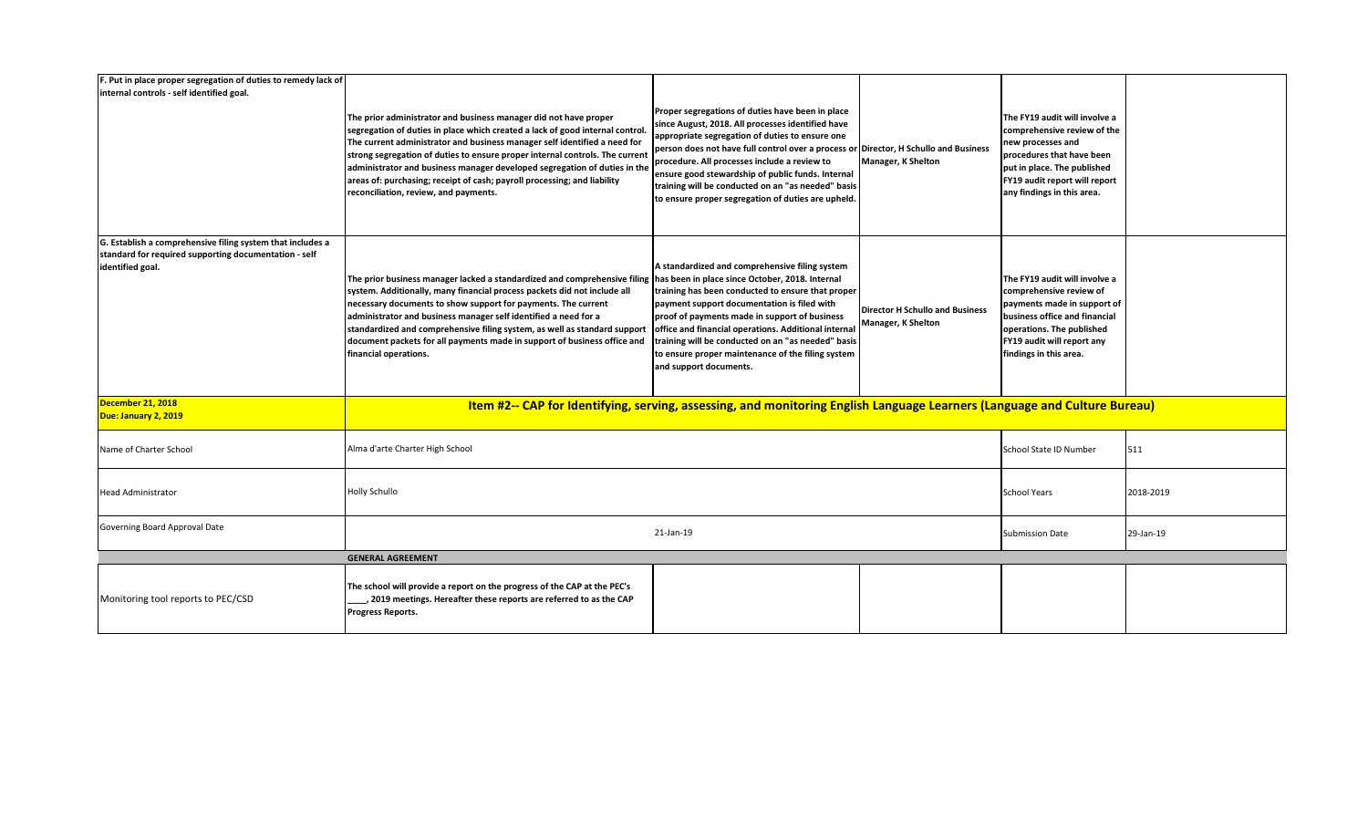| F. Put in place proper segregation of duties to remedy lack of                                                                          |                                                                                                                                                                                                                                                                                                                                                                                                                                                                                                                             |                                                                                                                                                                                                                                                                                                                                                                                                                                                                   |                                                                     |                                                                                                                                                                                                               |           |  |  |
|-----------------------------------------------------------------------------------------------------------------------------------------|-----------------------------------------------------------------------------------------------------------------------------------------------------------------------------------------------------------------------------------------------------------------------------------------------------------------------------------------------------------------------------------------------------------------------------------------------------------------------------------------------------------------------------|-------------------------------------------------------------------------------------------------------------------------------------------------------------------------------------------------------------------------------------------------------------------------------------------------------------------------------------------------------------------------------------------------------------------------------------------------------------------|---------------------------------------------------------------------|---------------------------------------------------------------------------------------------------------------------------------------------------------------------------------------------------------------|-----------|--|--|
| internal controls - self identified goal.                                                                                               | The prior administrator and business manager did not have proper<br>segregation of duties in place which created a lack of good internal control<br>The current administrator and business manager self identified a need for<br>strong segregation of duties to ensure proper internal controls. The currer<br>administrator and business manager developed segregation of duties in the<br>areas of: purchasing; receipt of cash; payroll processing; and liability<br>reconciliation, review, and payments.              | Proper segregations of duties have been in place<br>since August, 2018. All processes identified have<br>appropriate segregation of duties to ensure one<br>person does not have full control over a process or Director, H Schullo and Business<br>procedure. All processes include a review to<br>ensure good stewardship of public funds. Internal<br>training will be conducted on an "as needed" basis<br>to ensure proper segregation of duties are upheld. | <b>Manager, K Shelton</b>                                           | The FY19 audit will involve a<br>comprehensive review of the<br>new processes and<br>procedures that have been<br>put in place. The published<br>FY19 audit report will report<br>any findings in this area.  |           |  |  |
| G. Establish a comprehensive filing system that includes a<br>standard for required supporting documentation - self<br>identified goal. | The prior business manager lacked a standardized and comprehensive filing has been in place since October, 2018. Internal<br>system. Additionally, many financial process packets did not include all<br>necessary documents to show support for payments. The current<br>administrator and business manager self identified a need for a<br>standardized and comprehensive filing system, as well as standard support<br>document packets for all payments made in support of business office and<br>financial operations. | A standardized and comprehensive filing system<br>training has been conducted to ensure that proper<br>payment support documentation is filed with<br>proof of payments made in support of business<br>office and financial operations. Additional internal<br>training will be conducted on an "as needed" basis<br>to ensure proper maintenance of the filing system<br>and support documents.                                                                  | <b>Director H Schullo and Business</b><br><b>Manager, K Shelton</b> | The FY19 audit will involve a<br>comprehensive review of<br>payments made in support of<br>business office and financial<br>operations. The published<br>FY19 audit will report any<br>findings in this area. |           |  |  |
| December 21, 2018<br>Due: January 2, 2019                                                                                               | Item #2-- CAP for Identifying, serving, assessing, and monitoring English Language Learners (Language and Culture Bureau)                                                                                                                                                                                                                                                                                                                                                                                                   |                                                                                                                                                                                                                                                                                                                                                                                                                                                                   |                                                                     |                                                                                                                                                                                                               |           |  |  |
| Name of Charter School                                                                                                                  | Alma d'arte Charter High School                                                                                                                                                                                                                                                                                                                                                                                                                                                                                             |                                                                                                                                                                                                                                                                                                                                                                                                                                                                   |                                                                     | School State ID Number                                                                                                                                                                                        | 511       |  |  |
| <b>Head Administrator</b>                                                                                                               | Holly Schullo                                                                                                                                                                                                                                                                                                                                                                                                                                                                                                               |                                                                                                                                                                                                                                                                                                                                                                                                                                                                   |                                                                     | <b>School Years</b>                                                                                                                                                                                           | 2018-2019 |  |  |
| Governing Board Approval Date                                                                                                           | 21-Jan-19                                                                                                                                                                                                                                                                                                                                                                                                                                                                                                                   |                                                                                                                                                                                                                                                                                                                                                                                                                                                                   |                                                                     | <b>Submission Date</b>                                                                                                                                                                                        | 29-Jan-19 |  |  |
|                                                                                                                                         | <b>GENERAL AGREEMENT</b>                                                                                                                                                                                                                                                                                                                                                                                                                                                                                                    |                                                                                                                                                                                                                                                                                                                                                                                                                                                                   |                                                                     |                                                                                                                                                                                                               |           |  |  |
| Monitoring tool reports to PEC/CSD                                                                                                      | The school will provide a report on the progress of the CAP at the PEC's<br>, 2019 meetings. Hereafter these reports are referred to as the CAP<br><b>Progress Reports.</b>                                                                                                                                                                                                                                                                                                                                                 |                                                                                                                                                                                                                                                                                                                                                                                                                                                                   |                                                                     |                                                                                                                                                                                                               |           |  |  |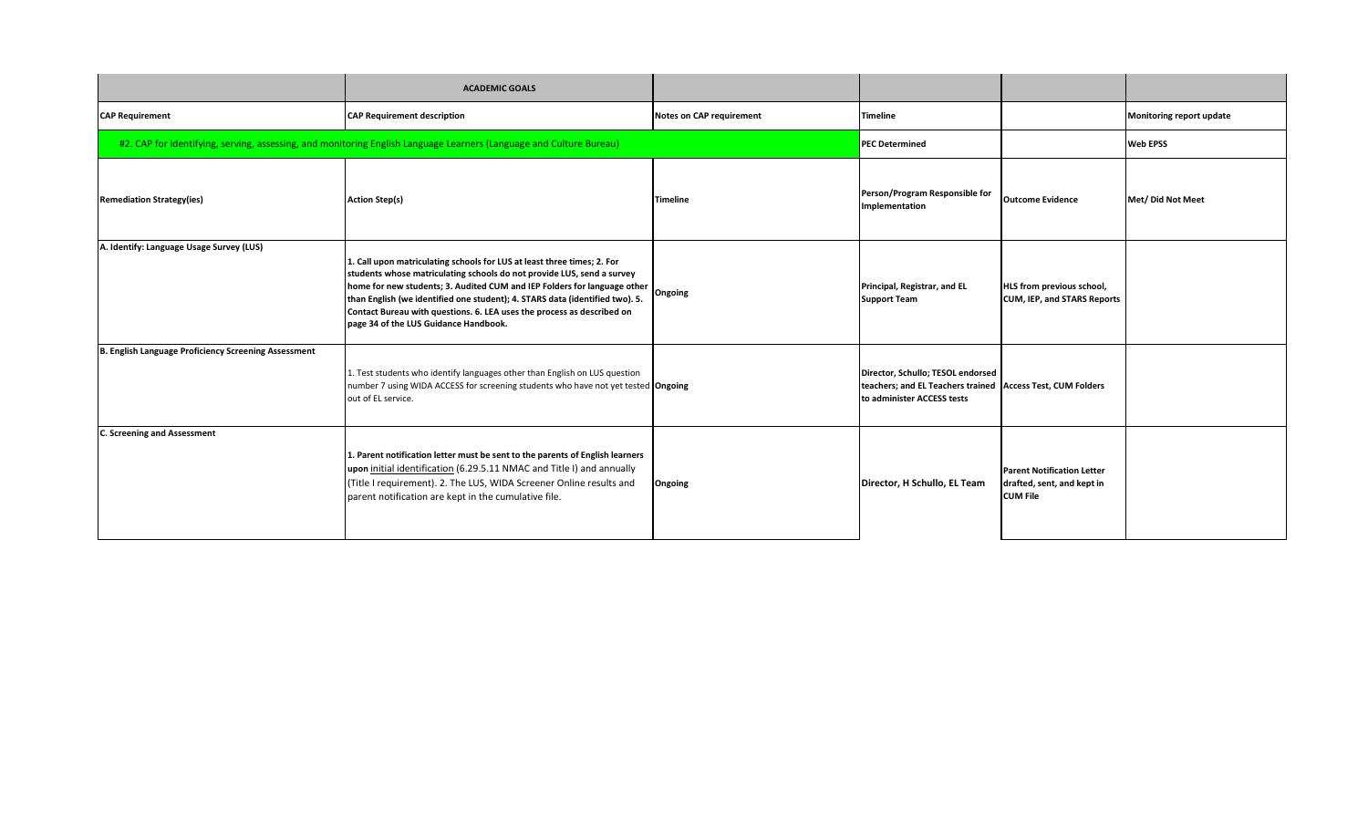|                                                      | <b>ACADEMIC GOALS</b>                                                                                                                                                                                                                                                                                                                                                                                                            |                                 |                                                                                                                                 |                                                                                    |                          |
|------------------------------------------------------|----------------------------------------------------------------------------------------------------------------------------------------------------------------------------------------------------------------------------------------------------------------------------------------------------------------------------------------------------------------------------------------------------------------------------------|---------------------------------|---------------------------------------------------------------------------------------------------------------------------------|------------------------------------------------------------------------------------|--------------------------|
| <b>CAP Requirement</b>                               | <b>CAP Requirement description</b>                                                                                                                                                                                                                                                                                                                                                                                               | <b>Notes on CAP requirement</b> | <b>Timeline</b>                                                                                                                 |                                                                                    | Monitoring report update |
|                                                      | #2. CAP for Identifying, serving, assessing, and monitoring English Language Learners (Language and Culture Bureau)                                                                                                                                                                                                                                                                                                              |                                 | <b>PEC Determined</b>                                                                                                           |                                                                                    | <b>Web EPSS</b>          |
| <b>Remediation Strategy(ies)</b>                     | <b>Action Step(s)</b>                                                                                                                                                                                                                                                                                                                                                                                                            | <b>Timeline</b>                 | Person/Program Responsible for<br>Implementation                                                                                | <b>Outcome Evidence</b>                                                            | Met/Did Not Meet         |
| A. Identify: Language Usage Survey (LUS)             | 1. Call upon matriculating schools for LUS at least three times; 2. For<br>students whose matriculating schools do not provide LUS, send a survey<br>home for new students; 3. Audited CUM and IEP Folders for language other<br>than English (we identified one student); 4. STARS data (identified two). 5.<br>Contact Bureau with questions. 6. LEA uses the process as described on<br>page 34 of the LUS Guidance Handbook. | Ongoing                         | Principal, Registrar, and EL<br><b>Support Team</b>                                                                             | HLS from previous school,<br>CUM, IEP, and STARS Reports                           |                          |
| B. English Language Proficiency Screening Assessment | 1. Test students who identify languages other than English on LUS question<br>number 7 using WIDA ACCESS for screening students who have not yet tested Ongoing<br>out of EL service.                                                                                                                                                                                                                                            |                                 | Director, Schullo; TESOL endorsed<br>teachers; and EL Teachers trained   Access Test, CUM Folders<br>to administer ACCESS tests |                                                                                    |                          |
| <b>C. Screening and Assessment</b>                   | 1. Parent notification letter must be sent to the parents of English learners<br>upon initial identification (6.29.5.11 NMAC and Title I) and annually<br>(Title I requirement). 2. The LUS, WIDA Screener Online results and<br>parent notification are kept in the cumulative file.                                                                                                                                            | Ongoing                         | Director, H Schullo, EL Team                                                                                                    | <b>Parent Notification Letter</b><br>drafted, sent, and kept in<br><b>CUM File</b> |                          |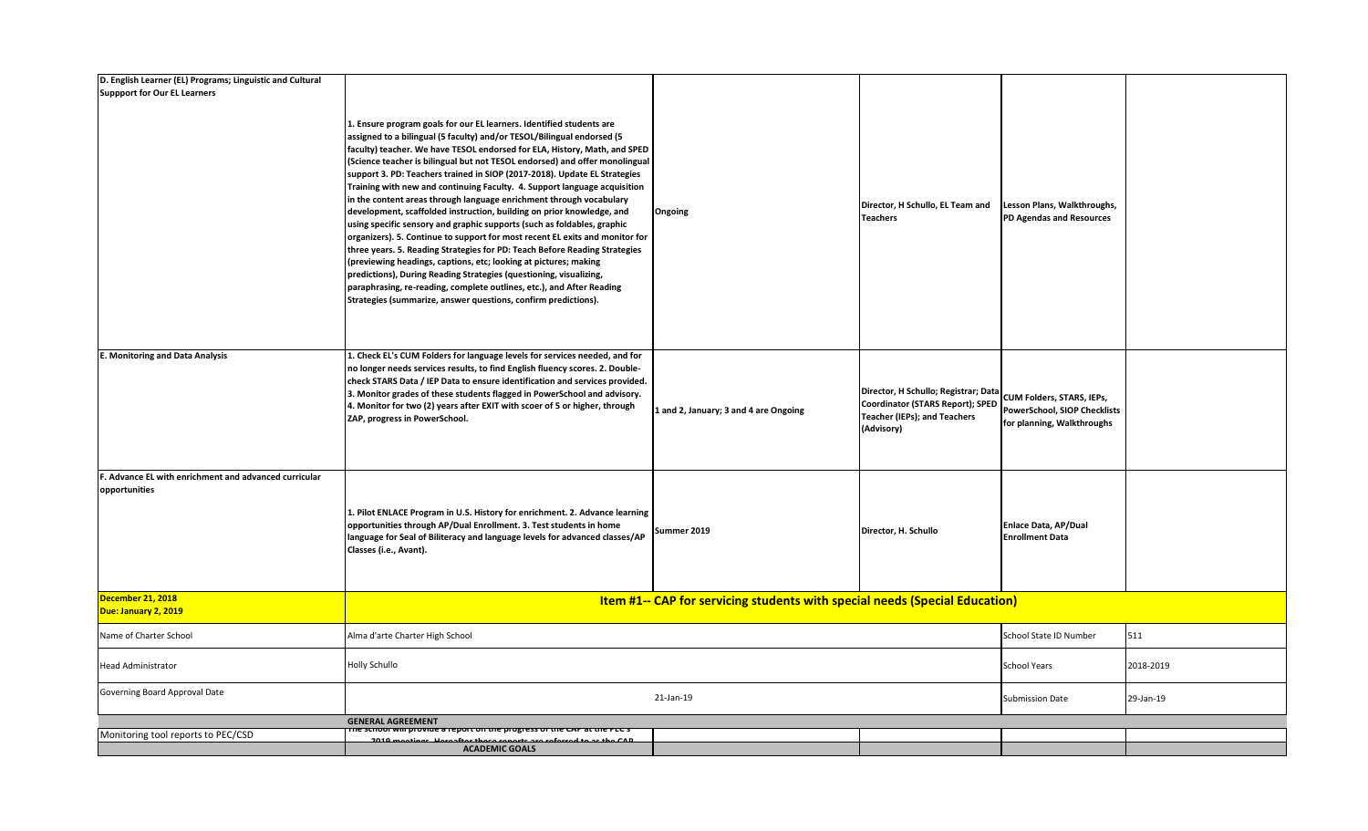| D. English Learner (EL) Programs; Linguistic and Cultural              |                                                                                                                                                                                                                                                                                                                                                                                                                                                                                                                                                                                                                                                                                                                                                                                                                                                                                                                                                                                                                                                                                                                                                    |                                       |                                                                                                                        |                                                                                         |           |  |
|------------------------------------------------------------------------|----------------------------------------------------------------------------------------------------------------------------------------------------------------------------------------------------------------------------------------------------------------------------------------------------------------------------------------------------------------------------------------------------------------------------------------------------------------------------------------------------------------------------------------------------------------------------------------------------------------------------------------------------------------------------------------------------------------------------------------------------------------------------------------------------------------------------------------------------------------------------------------------------------------------------------------------------------------------------------------------------------------------------------------------------------------------------------------------------------------------------------------------------|---------------------------------------|------------------------------------------------------------------------------------------------------------------------|-----------------------------------------------------------------------------------------|-----------|--|
| <b>Suppport for Our EL Learners</b>                                    |                                                                                                                                                                                                                                                                                                                                                                                                                                                                                                                                                                                                                                                                                                                                                                                                                                                                                                                                                                                                                                                                                                                                                    |                                       |                                                                                                                        |                                                                                         |           |  |
|                                                                        | 1. Ensure program goals for our EL learners. Identified students are<br>assigned to a bilingual (5 faculty) and/or TESOL/Bilingual endorsed (5<br>faculty) teacher. We have TESOL endorsed for ELA, History, Math, and SPED<br>(Science teacher is bilingual but not TESOL endorsed) and offer monolingual<br>support 3. PD: Teachers trained in SIOP (2017-2018). Update EL Strategies<br>Training with new and continuing Faculty. 4. Support language acquisition<br>in the content areas through language enrichment through vocabulary<br>development, scaffolded instruction, building on prior knowledge, and<br>using specific sensory and graphic supports (such as foldables, graphic<br>organizers). 5. Continue to support for most recent EL exits and monitor for<br>three years. 5. Reading Strategies for PD: Teach Before Reading Strategies<br>(previewing headings, captions, etc; looking at pictures; making<br>predictions), During Reading Strategies (questioning, visualizing,<br>paraphrasing, re-reading, complete outlines, etc.), and After Reading<br>Strategies (summarize, answer questions, confirm predictions). | Ongoing                               | Director, H Schullo, EL Team and<br><b>Teachers</b>                                                                    | Lesson Plans, Walkthroughs,<br>PD Agendas and Resources                                 |           |  |
| <b>E. Monitoring and Data Analysis</b>                                 | 1. Check EL's CUM Folders for language levels for services needed, and for<br>no longer needs services results, to find English fluency scores. 2. Double-<br>check STARS Data / IEP Data to ensure identification and services provided.<br>3. Monitor grades of these students flagged in PowerSchool and advisory.<br>4. Monitor for two (2) years after EXIT with scoer of 5 or higher, through<br>ZAP, progress in PowerSchool.                                                                                                                                                                                                                                                                                                                                                                                                                                                                                                                                                                                                                                                                                                               | 1 and 2, January; 3 and 4 are Ongoing | Director, H Schullo; Registrar; Data<br>Coordinator (STARS Report); SPED<br>Teacher (IEPs); and Teachers<br>(Advisory) | CUM Folders, STARS, IEPs,<br>PowerSchool, SIOP Checklists<br>for planning, Walkthroughs |           |  |
| F. Advance EL with enrichment and advanced curricular<br>opportunities | 1. Pilot ENLACE Program in U.S. History for enrichment. 2. Advance learning<br>opportunities through AP/Dual Enrollment. 3. Test students in home<br>language for Seal of Biliteracy and language levels for advanced classes/AP<br>Classes (i.e., Avant).                                                                                                                                                                                                                                                                                                                                                                                                                                                                                                                                                                                                                                                                                                                                                                                                                                                                                         | Summer 2019                           | Director, H. Schullo                                                                                                   | <b>Enlace Data, AP/Dual</b><br><b>Enrollment Data</b>                                   |           |  |
| December 21, 2018<br>Due: January 2, 2019                              | Item #1-- CAP for servicing students with special needs (Special Education)                                                                                                                                                                                                                                                                                                                                                                                                                                                                                                                                                                                                                                                                                                                                                                                                                                                                                                                                                                                                                                                                        |                                       |                                                                                                                        |                                                                                         |           |  |
| Name of Charter School                                                 | Alma d'arte Charter High School                                                                                                                                                                                                                                                                                                                                                                                                                                                                                                                                                                                                                                                                                                                                                                                                                                                                                                                                                                                                                                                                                                                    |                                       |                                                                                                                        | School State ID Number                                                                  | 511       |  |
| <b>Head Administrator</b>                                              | <b>Holly Schullo</b>                                                                                                                                                                                                                                                                                                                                                                                                                                                                                                                                                                                                                                                                                                                                                                                                                                                                                                                                                                                                                                                                                                                               |                                       |                                                                                                                        | <b>School Years</b>                                                                     | 2018-2019 |  |
| Governing Board Approval Date                                          | 21-Jan-19                                                                                                                                                                                                                                                                                                                                                                                                                                                                                                                                                                                                                                                                                                                                                                                                                                                                                                                                                                                                                                                                                                                                          |                                       |                                                                                                                        | <b>Submission Date</b>                                                                  | 29-Jan-19 |  |
|                                                                        | <b>GENERAL AGREEMENT</b>                                                                                                                                                                                                                                                                                                                                                                                                                                                                                                                                                                                                                                                                                                                                                                                                                                                                                                                                                                                                                                                                                                                           |                                       |                                                                                                                        |                                                                                         |           |  |
| Monitoring tool reports to PEC/CSD                                     | The school will provide a report on the progress of the CAP at the PEC's<br>بممنثهممم 1010                                                                                                                                                                                                                                                                                                                                                                                                                                                                                                                                                                                                                                                                                                                                                                                                                                                                                                                                                                                                                                                         |                                       |                                                                                                                        |                                                                                         |           |  |
|                                                                        | <b>ACADEMIC GOALS</b>                                                                                                                                                                                                                                                                                                                                                                                                                                                                                                                                                                                                                                                                                                                                                                                                                                                                                                                                                                                                                                                                                                                              |                                       |                                                                                                                        |                                                                                         |           |  |